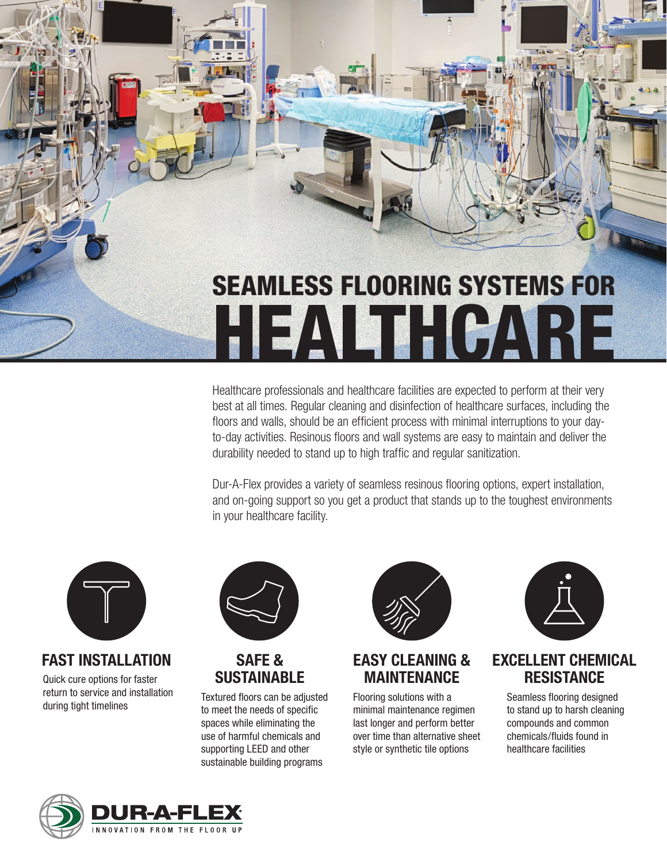

Healthcare professionals and healthcare facilities are expected to perform at their very best at all times. Regular cleaning and disinfection of healthcare surfaces, including the floors and walls, should be an efficient process with minimal interruptions to your dayto-day activities. Resinous floors and wall systems are easy to maintain and deliver the durability needed to stand up to high traffic and regular sanitization.

Dur-A-Flex provides a variety of seamless resinous flooring options, expert installation, and on-going support so you get a product that stands up to the toughest environments in your healthcare facility.



## **FAST INSTALLATION**

Quick cure options for faster return to service and installation during tight timelines



#### **SAFE & SUSTAINABLE**

Textured floors can be adjusted to meet the needs of specific spaces while eliminating the use of harmful chemicals and supporting LEED and other sustainable building programs



### **EASY CLEANING & MAINTENANCE**

Flooring solutions with a minimal maintenance regimen last longer and perform better over time than alternative sheet style or synthetic tile options



#### **EXCELLENT CHEMICAL RESISTANCE**

Seamless flooring designed to stand up to harsh cleaning compounds and common chemicals/fluids found in healthcare facilities